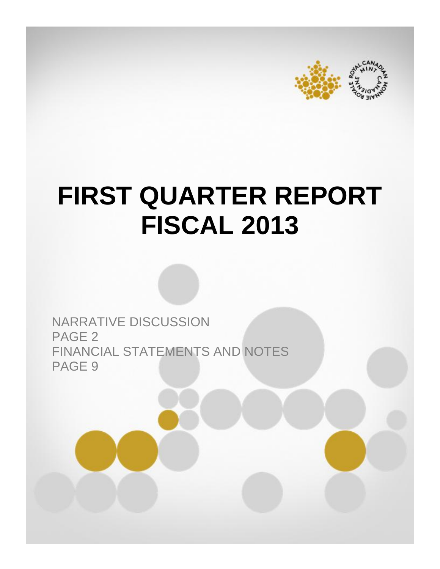



# **FIRST QUARTER REPORT FISCAL 2013**

NARRATIVE DISCUSSION PAGE 2 FINANCIAL STATEMENTS AND NOTES PAGE 9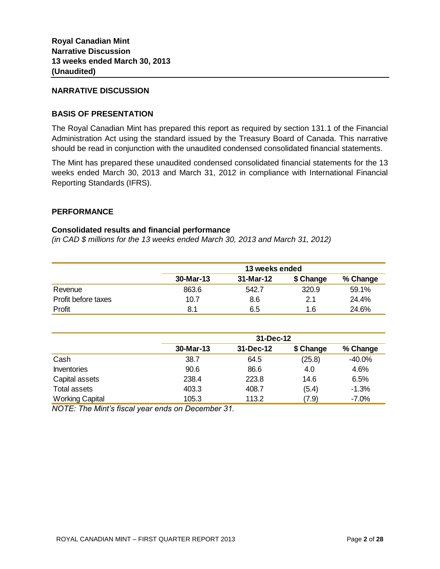## **NARRATIVE DISCUSSION**

## **BASIS OF PRESENTATION**

The Royal Canadian Mint has prepared this report as required by section 131.1 of the Financial Administration Act using the standard issued by the Treasury Board of Canada. This narrative should be read in conjunction with the unaudited condensed consolidated financial statements.

The Mint has prepared these unaudited condensed consolidated financial statements for the 13 weeks ended March 30, 2013 and March 31, 2012 in compliance with International Financial Reporting Standards (IFRS).

## **PERFORMANCE**

## **Consolidated results and financial performance**

*(in CAD \$ millions for the 13 weeks ended March 30, 2013 and March 31, 2012)*

|                     |           | 13 weeks ended |           |          |  |  |  |  |
|---------------------|-----------|----------------|-----------|----------|--|--|--|--|
|                     | 30-Mar-13 | 31-Mar-12      | \$ Change | % Change |  |  |  |  |
| Revenue             | 863.6     | 542.7          | 320.9     | 59.1%    |  |  |  |  |
| Profit before taxes | 10.7      | 8.6            | 2.1       | 24.4%    |  |  |  |  |
| Profit              | 8.1       | 6.5            | 1.6       | 24.6%    |  |  |  |  |

|                        |           | 31-Dec-12 |           |          |
|------------------------|-----------|-----------|-----------|----------|
|                        | 30-Mar-13 | 31-Dec-12 | \$ Change | % Change |
| Cash                   | 38.7      | 64.5      | (25.8)    | $-40.0%$ |
| <b>Inventories</b>     | 90.6      | 86.6      | 4.0       | 4.6%     |
| Capital assets         | 238.4     | 223.8     | 14.6      | 6.5%     |
| Total assets           | 403.3     | 408.7     | (5.4)     | $-1.3%$  |
| <b>Working Capital</b> | 105.3     | 113.2     | (7.9)     | $-7.0\%$ |

*NOTE: The Mint's fiscal year ends on December 31.*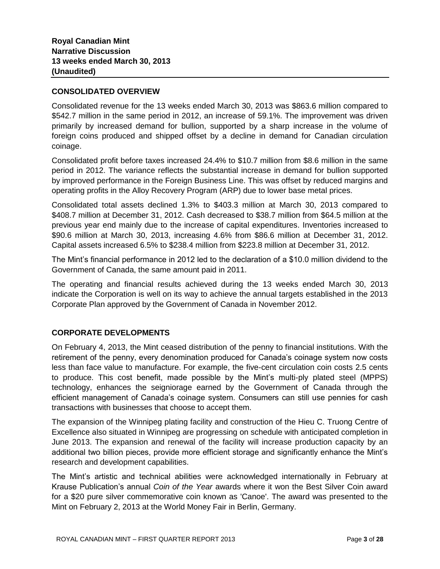# **CONSOLIDATED OVERVIEW**

Consolidated revenue for the 13 weeks ended March 30, 2013 was \$863.6 million compared to \$542.7 million in the same period in 2012, an increase of 59.1%. The improvement was driven primarily by increased demand for bullion, supported by a sharp increase in the volume of foreign coins produced and shipped offset by a decline in demand for Canadian circulation coinage.

Consolidated profit before taxes increased 24.4% to \$10.7 million from \$8.6 million in the same period in 2012. The variance reflects the substantial increase in demand for bullion supported by improved performance in the Foreign Business Line. This was offset by reduced margins and operating profits in the Alloy Recovery Program (ARP) due to lower base metal prices.

Consolidated total assets declined 1.3% to \$403.3 million at March 30, 2013 compared to \$408.7 million at December 31, 2012. Cash decreased to \$38.7 million from \$64.5 million at the previous year end mainly due to the increase of capital expenditures. Inventories increased to \$90.6 million at March 30, 2013, increasing 4.6% from \$86.6 million at December 31, 2012. Capital assets increased 6.5% to \$238.4 million from \$223.8 million at December 31, 2012.

The Mint's financial performance in 2012 led to the declaration of a \$10.0 million dividend to the Government of Canada, the same amount paid in 2011.

The operating and financial results achieved during the 13 weeks ended March 30, 2013 indicate the Corporation is well on its way to achieve the annual targets established in the 2013 Corporate Plan approved by the Government of Canada in November 2012.

# **CORPORATE DEVELOPMENTS**

On February 4, 2013, the Mint ceased distribution of the penny to financial institutions. With the retirement of the penny, every denomination produced for Canada's coinage system now costs less than face value to manufacture. For example, the five-cent circulation coin costs 2.5 cents to produce. This cost benefit, made possible by the Mint's multi-ply plated steel (MPPS) technology, enhances the seigniorage earned by the Government of Canada through the efficient management of Canada's coinage system. Consumers can still use pennies for cash transactions with businesses that choose to accept them.

The expansion of the Winnipeg plating facility and construction of the Hieu C. Truong Centre of Excellence also situated in Winnipeg are progressing on schedule with anticipated completion in June 2013. The expansion and renewal of the facility will increase production capacity by an additional two billion pieces, provide more efficient storage and significantly enhance the Mint's research and development capabilities.

The Mint's artistic and technical abilities were acknowledged internationally in February at Krause Publication's annual *Coin of the Year* awards where it won the Best Silver Coin award for a \$20 pure silver commemorative coin known as 'Canoe'. The award was presented to the Mint on February 2, 2013 at the World Money Fair in Berlin, Germany.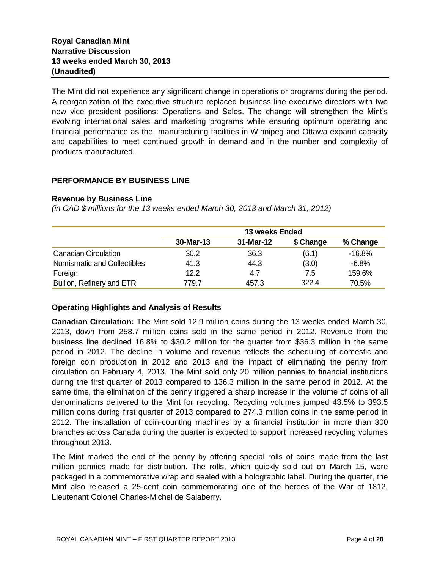The Mint did not experience any significant change in operations or programs during the period. A reorganization of the executive structure replaced business line executive directors with two new vice president positions: Operations and Sales. The change will strengthen the Mint's evolving international sales and marketing programs while ensuring optimum operating and financial performance as the manufacturing facilities in Winnipeg and Ottawa expand capacity and capabilities to meet continued growth in demand and in the number and complexity of products manufactured.

# **PERFORMANCE BY BUSINESS LINE**

## **Revenue by Business Line**

*(in CAD \$ millions for the 13 weeks ended March 30, 2013 and March 31, 2012)*

|                                    |           | <b>13 weeks Ended</b> |           |          |
|------------------------------------|-----------|-----------------------|-----------|----------|
|                                    | 30-Mar-13 | 31-Mar-12             | \$ Change | % Change |
| <b>Canadian Circulation</b>        | 30.2      | 36.3                  | (6.1)     | $-16.8%$ |
| <b>Numismatic and Collectibles</b> | 41.3      | 44.3                  | (3.0)     | $-6.8\%$ |
| Foreign                            | 12.2      | 4.7                   | 7.5       | 159.6%   |
| Bullion, Refinery and ETR          | 779.7     | 457.3                 | 322.4     | 70.5%    |

## **Operating Highlights and Analysis of Results**

**Canadian Circulation:** The Mint sold 12.9 million coins during the 13 weeks ended March 30, 2013, down from 258.7 million coins sold in the same period in 2012. Revenue from the business line declined 16.8% to \$30.2 million for the quarter from \$36.3 million in the same period in 2012. The decline in volume and revenue reflects the scheduling of domestic and foreign coin production in 2012 and 2013 and the impact of eliminating the penny from circulation on February 4, 2013. The Mint sold only 20 million pennies to financial institutions during the first quarter of 2013 compared to 136.3 million in the same period in 2012. At the same time, the elimination of the penny triggered a sharp increase in the volume of coins of all denominations delivered to the Mint for recycling. Recycling volumes jumped 43.5% to 393.5 million coins during first quarter of 2013 compared to 274.3 million coins in the same period in 2012. The installation of coin-counting machines by a financial institution in more than 300 branches across Canada during the quarter is expected to support increased recycling volumes throughout 2013.

The Mint marked the end of the penny by offering special rolls of coins made from the last million pennies made for distribution. The rolls, which quickly sold out on March 15, were packaged in a commemorative wrap and sealed with a holographic label. During the quarter, the Mint also released a 25-cent coin commemorating one of the heroes of the War of 1812, Lieutenant Colonel Charles-Michel de Salaberry.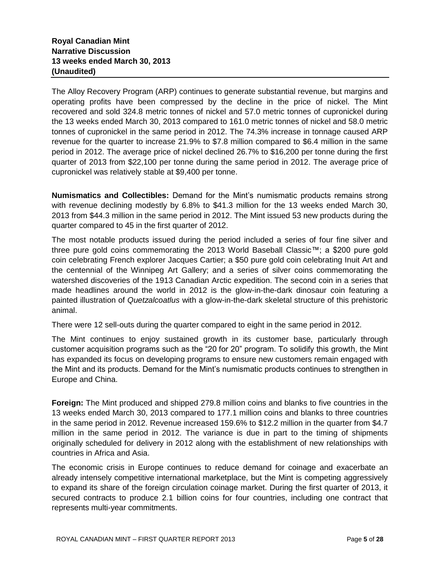The Alloy Recovery Program (ARP) continues to generate substantial revenue, but margins and operating profits have been compressed by the decline in the price of nickel. The Mint recovered and sold 324.8 metric tonnes of nickel and 57.0 metric tonnes of cupronickel during the 13 weeks ended March 30, 2013 compared to 161.0 metric tonnes of nickel and 58.0 metric tonnes of cupronickel in the same period in 2012. The 74.3% increase in tonnage caused ARP revenue for the quarter to increase 21.9% to \$7.8 million compared to \$6.4 million in the same period in 2012. The average price of nickel declined 26.7% to \$16,200 per tonne during the first quarter of 2013 from \$22,100 per tonne during the same period in 2012. The average price of cupronickel was relatively stable at \$9,400 per tonne.

**Numismatics and Collectibles:** Demand for the Mint's numismatic products remains strong with revenue declining modestly by 6.8% to \$41.3 million for the 13 weeks ended March 30, 2013 from \$44.3 million in the same period in 2012. The Mint issued 53 new products during the quarter compared to 45 in the first quarter of 2012.

The most notable products issued during the period included a series of four fine silver and three pure gold coins commemorating the 2013 World Baseball Classic™; a \$200 pure gold coin celebrating French explorer Jacques Cartier; a \$50 pure gold coin celebrating Inuit Art and the centennial of the Winnipeg Art Gallery; and a series of silver coins commemorating the watershed discoveries of the 1913 Canadian Arctic expedition. The second coin in a series that made headlines around the world in 2012 is the glow-in-the-dark dinosaur coin featuring a painted illustration of *Quetzalcoatlus* with a glow-in-the-dark skeletal structure of this prehistoric animal.

There were 12 sell-outs during the quarter compared to eight in the same period in 2012.

The Mint continues to enjoy sustained growth in its customer base, particularly through customer acquisition programs such as the "20 for 20" program. To solidify this growth, the Mint has expanded its focus on developing programs to ensure new customers remain engaged with the Mint and its products. Demand for the Mint's numismatic products continues to strengthen in Europe and China.

**Foreign:** The Mint produced and shipped 279.8 million coins and blanks to five countries in the 13 weeks ended March 30, 2013 compared to 177.1 million coins and blanks to three countries in the same period in 2012. Revenue increased 159.6% to \$12.2 million in the quarter from \$4.7 million in the same period in 2012. The variance is due in part to the timing of shipments originally scheduled for delivery in 2012 along with the establishment of new relationships with countries in Africa and Asia.

The economic crisis in Europe continues to reduce demand for coinage and exacerbate an already intensely competitive international marketplace, but the Mint is competing aggressively to expand its share of the foreign circulation coinage market. During the first quarter of 2013, it secured contracts to produce 2.1 billion coins for four countries, including one contract that represents multi-year commitments.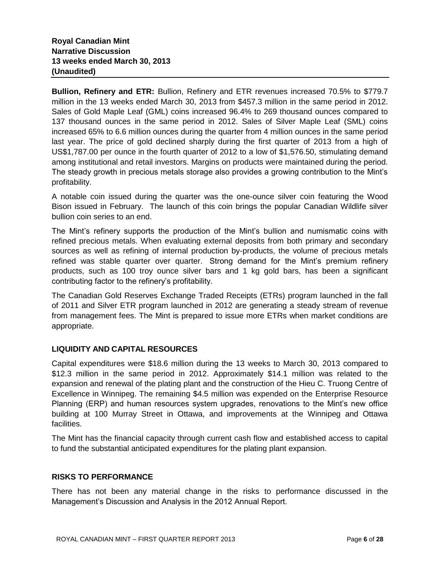**Bullion, Refinery and ETR:** Bullion, Refinery and ETR revenues increased 70.5% to \$779.7 million in the 13 weeks ended March 30, 2013 from \$457.3 million in the same period in 2012. Sales of Gold Maple Leaf (GML) coins increased 96.4% to 269 thousand ounces compared to 137 thousand ounces in the same period in 2012. Sales of Silver Maple Leaf (SML) coins increased 65% to 6.6 million ounces during the quarter from 4 million ounces in the same period last year. The price of gold declined sharply during the first quarter of 2013 from a high of US\$1,787.00 per ounce in the fourth quarter of 2012 to a low of \$1,576.50, stimulating demand among institutional and retail investors. Margins on products were maintained during the period. The steady growth in precious metals storage also provides a growing contribution to the Mint's profitability.

A notable coin issued during the quarter was the one-ounce silver coin featuring the Wood Bison issued in February. The launch of this coin brings the popular Canadian Wildlife silver bullion coin series to an end.

The Mint's refinery supports the production of the Mint's bullion and numismatic coins with refined precious metals. When evaluating external deposits from both primary and secondary sources as well as refining of internal production by-products, the volume of precious metals refined was stable quarter over quarter. Strong demand for the Mint's premium refinery products, such as 100 troy ounce silver bars and 1 kg gold bars, has been a significant contributing factor to the refinery's profitability.

The Canadian Gold Reserves Exchange Traded Receipts (ETRs) program launched in the fall of 2011 and Silver ETR program launched in 2012 are generating a steady stream of revenue from management fees. The Mint is prepared to issue more ETRs when market conditions are appropriate.

# **LIQUIDITY AND CAPITAL RESOURCES**

Capital expenditures were \$18.6 million during the 13 weeks to March 30, 2013 compared to \$12.3 million in the same period in 2012. Approximately \$14.1 million was related to the expansion and renewal of the plating plant and the construction of the Hieu C. Truong Centre of Excellence in Winnipeg. The remaining \$4.5 million was expended on the Enterprise Resource Planning (ERP) and human resources system upgrades, renovations to the Mint's new office building at 100 Murray Street in Ottawa, and improvements at the Winnipeg and Ottawa facilities.

The Mint has the financial capacity through current cash flow and established access to capital to fund the substantial anticipated expenditures for the plating plant expansion.

# **RISKS TO PERFORMANCE**

There has not been any material change in the risks to performance discussed in the Management's Discussion and Analysis in the 2012 Annual Report.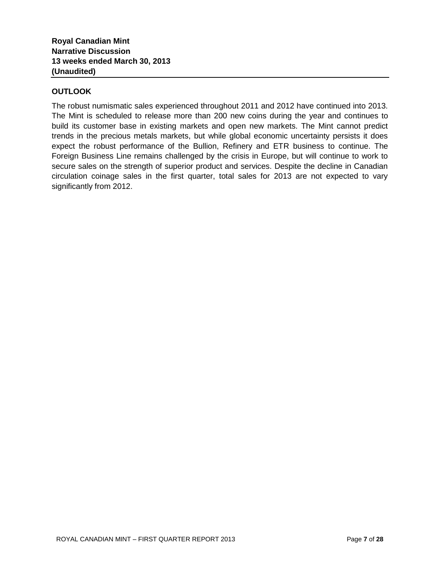# **OUTLOOK**

The robust numismatic sales experienced throughout 2011 and 2012 have continued into 2013. The Mint is scheduled to release more than 200 new coins during the year and continues to build its customer base in existing markets and open new markets. The Mint cannot predict trends in the precious metals markets, but while global economic uncertainty persists it does expect the robust performance of the Bullion, Refinery and ETR business to continue. The Foreign Business Line remains challenged by the crisis in Europe, but will continue to work to secure sales on the strength of superior product and services. Despite the decline in Canadian circulation coinage sales in the first quarter, total sales for 2013 are not expected to vary significantly from 2012.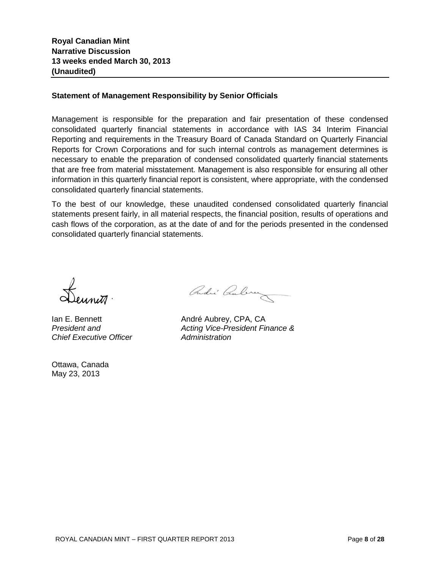## **Statement of Management Responsibility by Senior Officials**

Management is responsible for the preparation and fair presentation of these condensed consolidated quarterly financial statements in accordance with IAS 34 Interim Financial Reporting and requirements in the Treasury Board of Canada Standard on Quarterly Financial Reports for Crown Corporations and for such internal controls as management determines is necessary to enable the preparation of condensed consolidated quarterly financial statements that are free from material misstatement. Management is also responsible for ensuring all other information in this quarterly financial report is consistent, where appropriate, with the condensed consolidated quarterly financial statements.

To the best of our knowledge, these unaudited condensed consolidated quarterly financial statements present fairly, in all material respects, the financial position, results of operations and cash flows of the corporation, as at the date of and for the periods presented in the condensed consolidated quarterly financial statements.

*Chief Executive Officer Administration*

Ottawa, Canada May 23, 2013

André Cubrez

Ian E. Bennett **André Aubrey**, CPA, CA *President and Acting Vice-President Finance &*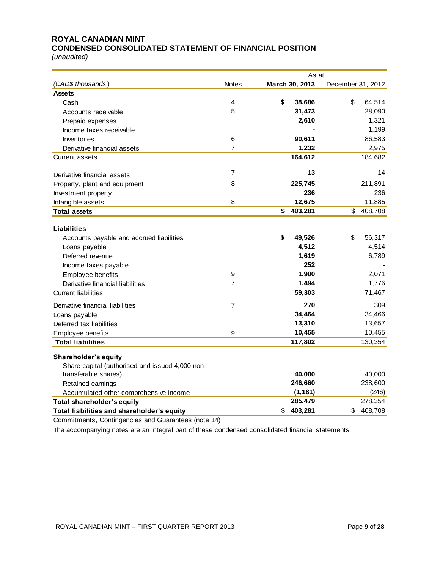# **ROYAL CANADIAN MINT CONDENSED CONSOLIDATED STATEMENT OF FINANCIAL POSITION**

*(unaudited)*

|                                                                                                        | As at            |                |                   |  |
|--------------------------------------------------------------------------------------------------------|------------------|----------------|-------------------|--|
| (CAD\$ thousands)                                                                                      | <b>Notes</b>     | March 30, 2013 | December 31, 2012 |  |
| <b>Assets</b>                                                                                          |                  |                |                   |  |
| Cash                                                                                                   | 4                | \$<br>38,686   | \$<br>64,514      |  |
| Accounts receivable                                                                                    | 5                | 31,473         | 28,090            |  |
| Prepaid expenses                                                                                       |                  | 2,610          | 1,321             |  |
| Income taxes receivable                                                                                |                  |                | 1,199             |  |
| Inventories                                                                                            | 6                | 90,611         | 86,583            |  |
| Derivative financial assets                                                                            | 7                | 1,232          | 2,975             |  |
| <b>Current assets</b>                                                                                  |                  | 164,612        | 184,682           |  |
| Derivative financial assets                                                                            | 7                | 13             | 14                |  |
| Property, plant and equipment                                                                          | 8                | 225,745        | 211,891           |  |
| Investment property                                                                                    |                  | 236            | 236               |  |
| Intangible assets                                                                                      | 8                | 12,675         | 11,885            |  |
| <b>Total assets</b>                                                                                    |                  | 403,281<br>\$  | \$<br>408,708     |  |
|                                                                                                        |                  |                |                   |  |
| <b>Liabilities</b>                                                                                     |                  |                |                   |  |
| Accounts payable and accrued liabilities                                                               |                  | \$<br>49,526   | \$<br>56,317      |  |
| Loans payable                                                                                          |                  | 4,512          | 4,514             |  |
| Deferred revenue                                                                                       |                  | 1,619          | 6,789             |  |
| Income taxes payable                                                                                   |                  | 252            |                   |  |
| Employee benefits                                                                                      | $\boldsymbol{9}$ | 1,900          | 2,071             |  |
| Derivative financial liabilities                                                                       | 7                | 1,494          | 1,776             |  |
| <b>Current liabilities</b>                                                                             |                  | 59,303         | 71,467            |  |
| Derivative financial liabilities                                                                       | $\overline{7}$   | 270            | 309               |  |
| Loans payable                                                                                          |                  | 34,464         | 34,466            |  |
| Deferred tax liabilities                                                                               |                  | 13,310         | 13,657            |  |
| Employee benefits                                                                                      | 9                | 10,455         | 10,455            |  |
| <b>Total liabilities</b>                                                                               |                  | 117,802        | 130,354           |  |
| <b>Shareholder's equity</b>                                                                            |                  |                |                   |  |
| Share capital (authorised and issued 4,000 non-                                                        |                  |                |                   |  |
| transferable shares)                                                                                   |                  | 40,000         | 40,000            |  |
| Retained earnings                                                                                      |                  | 246,660        | 238,600           |  |
| Accumulated other comprehensive income                                                                 |                  | (1, 181)       | (246)             |  |
| Total shareholder's equity                                                                             |                  | 285,479        | 278,354           |  |
| Total liabilities and shareholder's equity                                                             |                  | 403,281<br>\$  | 408,708<br>\$     |  |
| $\alpha$ , there is the $\alpha$ continuous integrating $\alpha$ . The continuous function of $\alpha$ | $\overline{A}$   |                |                   |  |

Commitments, Contingencies and Guarantees (note 14)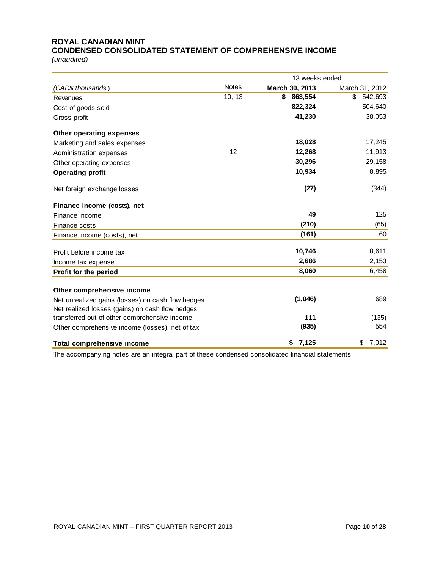# **ROYAL CANADIAN MINT CONDENSED CONSOLIDATED STATEMENT OF COMPREHENSIVE INCOME**

*(unaudited)*

|                                                   |              | 13 weeks ended |                |  |  |
|---------------------------------------------------|--------------|----------------|----------------|--|--|
| (CAD\$ thousands)                                 | <b>Notes</b> | March 30, 2013 | March 31, 2012 |  |  |
| Revenues                                          | 10, 13       | \$<br>863,554  | \$<br>542,693  |  |  |
| Cost of goods sold                                |              | 822,324        | 504,640        |  |  |
| Gross profit                                      |              | 41,230         | 38,053         |  |  |
| Other operating expenses                          |              |                |                |  |  |
| Marketing and sales expenses                      |              | 18,028         | 17,245         |  |  |
| Administration expenses                           | 12           | 12,268         | 11,913         |  |  |
| Other operating expenses                          |              | 30,296         | 29,158         |  |  |
| <b>Operating profit</b>                           |              | 10,934         | 8,895          |  |  |
| Net foreign exchange losses                       |              | (27)           | (344)          |  |  |
| Finance income (costs), net                       |              |                |                |  |  |
| Finance income                                    |              | 49             | 125            |  |  |
| Finance costs                                     |              | (210)          | (65)           |  |  |
| Finance income (costs), net                       |              | (161)          | 60             |  |  |
| Profit before income tax                          |              | 10,746         | 8,611          |  |  |
| Income tax expense                                |              | 2,686          | 2,153          |  |  |
| Profit for the period                             |              | 8,060          | 6,458          |  |  |
| Other comprehensive income                        |              |                |                |  |  |
| Net unrealized gains (losses) on cash flow hedges |              | (1,046)        | 689            |  |  |
| Net realized losses (gains) on cash flow hedges   |              |                |                |  |  |
| transferred out of other comprehensive income     |              | 111            | (135)          |  |  |
| Other comprehensive income (losses), net of tax   |              | (935)          | 554            |  |  |
| <b>Total comprehensive income</b>                 |              | 7,125<br>\$    | 7,012<br>\$    |  |  |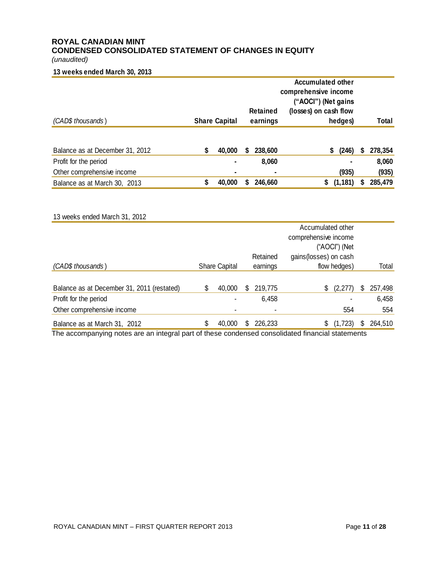# **ROYAL CANADIAN MINT CONDENSED CONSOLIDATED STATEMENT OF CHANGES IN EQUITY**

*(unaudited)*

## **13 weeks ended March 30, 2013**

|                                 |   |                      | <b>Accumulated other</b><br>comprehensive income |                 |                                              |   |         |
|---------------------------------|---|----------------------|--------------------------------------------------|-----------------|----------------------------------------------|---|---------|
|                                 |   |                      |                                                  | <b>Retained</b> | ("AOCI") (Net gains<br>(losses) on cash flow |   |         |
| (CAD\$ thousands)               |   | <b>Share Capital</b> |                                                  | earnings        | hedges)                                      |   | Total   |
| Balance as at December 31, 2012 | S | 40,000               | S                                                | 238,600         | (246)<br>\$                                  | S | 278,354 |
| Profit for the period           |   | ۰                    |                                                  | 8,060           |                                              |   | 8,060   |
| Other comprehensive income      |   | ۰                    |                                                  |                 | (935)                                        |   | (935)   |
| Balance as at March 30, 2013    | S | 40,000               | S                                                | 246,660         | (1, 181)<br>\$                               |   | 285,479 |

| 13 weeks ended March 31, 2012              |    |                      |    |          |                       |   |         |
|--------------------------------------------|----|----------------------|----|----------|-----------------------|---|---------|
|                                            |    |                      |    |          | Accumulated other     |   |         |
|                                            |    |                      |    |          | comprehensive income  |   |         |
|                                            |    |                      |    |          | ("AOCI") (Net         |   |         |
|                                            |    |                      |    | Retained | gains(losses) on cash |   |         |
| (CAD\$ thousands)                          |    | <b>Share Capital</b> |    | earnings | flow hedges)          |   | Total   |
|                                            |    |                      |    |          |                       |   |         |
| Balance as at December 31, 2011 (restated) | S  | 40,000               | \$ | 219,775  | (2, 277)<br>S         | S | 257,498 |
| Profit for the period                      |    |                      |    | 6,458    |                       |   | 6,458   |
| Other comprehensive income                 |    |                      |    |          | 554                   |   | 554     |
| Balance as at March 31, 2012               | \$ | 40,000               | S. | 226,233  | (1,723)<br>\$         |   | 264,510 |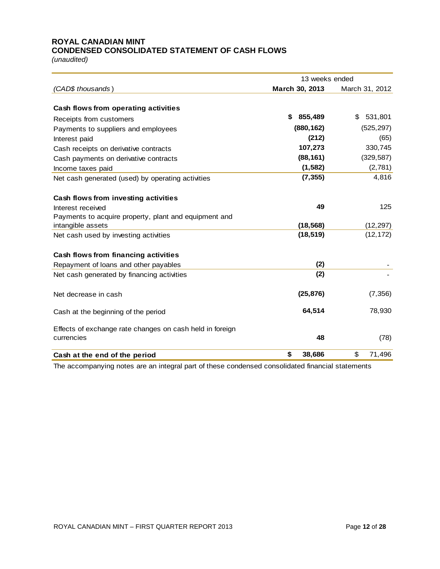## **ROYAL CANADIAN MINT CONDENSED CONSOLIDATED STATEMENT OF CASH FLOWS**

*(unaudited)*

|                                                          | 13 weeks ended |                |  |  |  |  |
|----------------------------------------------------------|----------------|----------------|--|--|--|--|
| (CAD\$ thousands)                                        | March 30, 2013 | March 31, 2012 |  |  |  |  |
|                                                          |                |                |  |  |  |  |
| Cash flows from operating activities                     |                |                |  |  |  |  |
| Receipts from customers                                  | \$<br>855,489  | 531,801<br>\$  |  |  |  |  |
| Payments to suppliers and employees                      | (880, 162)     | (525, 297)     |  |  |  |  |
| Interest paid                                            | (212)          | (65)           |  |  |  |  |
| Cash receipts on derivative contracts                    | 107,273        | 330,745        |  |  |  |  |
| Cash payments on derivative contracts                    | (88, 161)      | (329, 587)     |  |  |  |  |
| Income taxes paid                                        | (1, 582)       | (2,781)        |  |  |  |  |
| Net cash generated (used) by operating activities        | (7, 355)       | 4,816          |  |  |  |  |
| Cash flows from investing activities                     |                |                |  |  |  |  |
| Interest received                                        | 49             | 125            |  |  |  |  |
| Payments to acquire property, plant and equipment and    |                |                |  |  |  |  |
| intangible assets                                        | (18, 568)      | (12, 297)      |  |  |  |  |
| Net cash used by investing activities                    | (18, 519)      | (12, 172)      |  |  |  |  |
| Cash flows from financing activities                     |                |                |  |  |  |  |
| Repayment of loans and other payables                    | (2)            |                |  |  |  |  |
| Net cash generated by financing activities               | (2)            |                |  |  |  |  |
| Net decrease in cash                                     | (25, 876)      | (7, 356)       |  |  |  |  |
| Cash at the beginning of the period                      | 64,514         | 78,930         |  |  |  |  |
| Effects of exchange rate changes on cash held in foreign |                |                |  |  |  |  |
| currencies                                               | 48             | (78)           |  |  |  |  |
| Cash at the end of the period                            | \$<br>38,686   | \$<br>71,496   |  |  |  |  |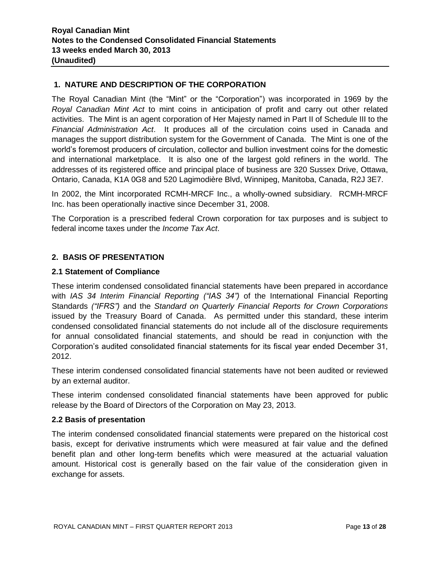# **1. NATURE AND DESCRIPTION OF THE CORPORATION**

The Royal Canadian Mint (the "Mint" or the "Corporation") was incorporated in 1969 by the *Royal Canadian Mint Act* to mint coins in anticipation of profit and carry out other related activities. The Mint is an agent corporation of Her Majesty named in Part II of Schedule III to the *Financial Administration Act*. It produces all of the circulation coins used in Canada and manages the support distribution system for the Government of Canada. The Mint is one of the world's foremost producers of circulation, collector and bullion investment coins for the domestic and international marketplace. It is also one of the largest gold refiners in the world. The addresses of its registered office and principal place of business are 320 Sussex Drive, Ottawa, Ontario, Canada, K1A 0G8 and 520 Lagimodière Blvd, Winnipeg, Manitoba, Canada, R2J 3E7.

In 2002, the Mint incorporated RCMH-MRCF Inc., a wholly-owned subsidiary. RCMH-MRCF Inc. has been operationally inactive since December 31, 2008.

The Corporation is a prescribed federal Crown corporation for tax purposes and is subject to federal income taxes under the *Income Tax Act*.

# **2. BASIS OF PRESENTATION**

## **2.1 Statement of Compliance**

These interim condensed consolidated financial statements have been prepared in accordance with *IAS 34 Interim Financial Reporting ("IAS 34")* of the International Financial Reporting Standards *("IFRS")* and the *Standard on Quarterly Financial Reports for Crown Corporations* issued by the Treasury Board of Canada. As permitted under this standard, these interim condensed consolidated financial statements do not include all of the disclosure requirements for annual consolidated financial statements, and should be read in conjunction with the Corporation's audited consolidated financial statements for its fiscal year ended December 31, 2012.

These interim condensed consolidated financial statements have not been audited or reviewed by an external auditor.

These interim condensed consolidated financial statements have been approved for public release by the Board of Directors of the Corporation on May 23, 2013.

## **2.2 Basis of presentation**

The interim condensed consolidated financial statements were prepared on the historical cost basis, except for derivative instruments which were measured at fair value and the defined benefit plan and other long-term benefits which were measured at the actuarial valuation amount. Historical cost is generally based on the fair value of the consideration given in exchange for assets.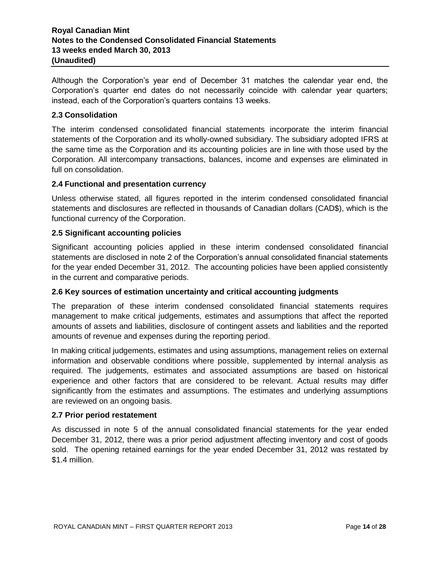# **Royal Canadian Mint Notes to the Condensed Consolidated Financial Statements 13 weeks ended March 30, 2013 (Unaudited)**

Although the Corporation's year end of December 31 matches the calendar year end, the Corporation's quarter end dates do not necessarily coincide with calendar year quarters; instead, each of the Corporation's quarters contains 13 weeks.

# **2.3 Consolidation**

The interim condensed consolidated financial statements incorporate the interim financial statements of the Corporation and its wholly-owned subsidiary. The subsidiary adopted IFRS at the same time as the Corporation and its accounting policies are in line with those used by the Corporation. All intercompany transactions, balances, income and expenses are eliminated in full on consolidation.

## **2.4 Functional and presentation currency**

Unless otherwise stated, all figures reported in the interim condensed consolidated financial statements and disclosures are reflected in thousands of Canadian dollars (CAD\$), which is the functional currency of the Corporation.

## **2.5 Significant accounting policies**

Significant accounting policies applied in these interim condensed consolidated financial statements are disclosed in note 2 of the Corporation's annual consolidated financial statements for the year ended December 31, 2012. The accounting policies have been applied consistently in the current and comparative periods.

## **2.6 Key sources of estimation uncertainty and critical accounting judgments**

The preparation of these interim condensed consolidated financial statements requires management to make critical judgements, estimates and assumptions that affect the reported amounts of assets and liabilities, disclosure of contingent assets and liabilities and the reported amounts of revenue and expenses during the reporting period.

In making critical judgements, estimates and using assumptions, management relies on external information and observable conditions where possible, supplemented by internal analysis as required. The judgements, estimates and associated assumptions are based on historical experience and other factors that are considered to be relevant. Actual results may differ significantly from the estimates and assumptions. The estimates and underlying assumptions are reviewed on an ongoing basis.

## **2.7 Prior period restatement**

As discussed in note 5 of the annual consolidated financial statements for the year ended December 31, 2012, there was a prior period adjustment affecting inventory and cost of goods sold. The opening retained earnings for the year ended December 31, 2012 was restated by \$1.4 million.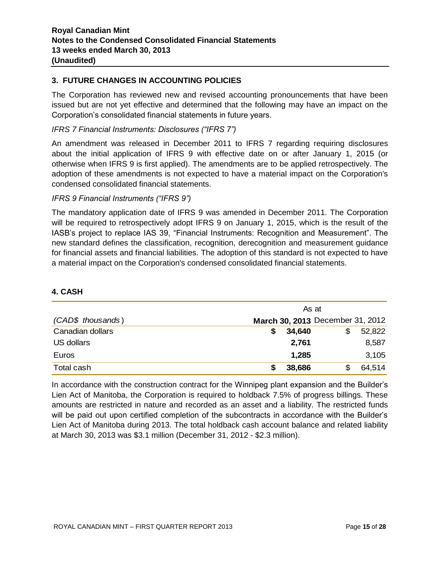# **3. FUTURE CHANGES IN ACCOUNTING POLICIES**

The Corporation has reviewed new and revised accounting pronouncements that have been issued but are not yet effective and determined that the following may have an impact on the Corporation's consolidated financial statements in future years.

# *IFRS 7 Financial Instruments: Disclosures ("IFRS 7")*

An amendment was released in December 2011 to IFRS 7 regarding requiring disclosures about the initial application of IFRS 9 with effective date on or after January 1, 2015 (or otherwise when IFRS 9 is first applied). The amendments are to be applied retrospectively. The adoption of these amendments is not expected to have a material impact on the Corporation's condensed consolidated financial statements.

# *IFRS 9 Financial Instruments ("IFRS 9")*

The mandatory application date of IFRS 9 was amended in December 2011. The Corporation will be required to retrospectively adopt IFRS 9 on January 1, 2015, which is the result of the IASB's project to replace IAS 39, "Financial Instruments: Recognition and Measurement". The new standard defines the classification, recognition, derecognition and measurement guidance for financial assets and financial liabilities. The adoption of this standard is not expected to have a material impact on the Corporation's condensed consolidated financial statements.

## **4. CASH**

|                   | As at                            |             |
|-------------------|----------------------------------|-------------|
| (CAD\$ thousands) | March 30, 2013 December 31, 2012 |             |
| Canadian dollars  | 34,640                           | 52,822<br>S |
| US dollars        | 2,761                            | 8,587       |
| Euros             | 1,285                            | 3,105       |
| Total cash        | 38,686                           | 64,514      |

In accordance with the construction contract for the Winnipeg plant expansion and the Builder's Lien Act of Manitoba, the Corporation is required to holdback 7.5% of progress billings. These amounts are restricted in nature and recorded as an asset and a liability. The restricted funds will be paid out upon certified completion of the subcontracts in accordance with the Builder's Lien Act of Manitoba during 2013. The total holdback cash account balance and related liability at March 30, 2013 was \$3.1 million (December 31, 2012 - \$2.3 million).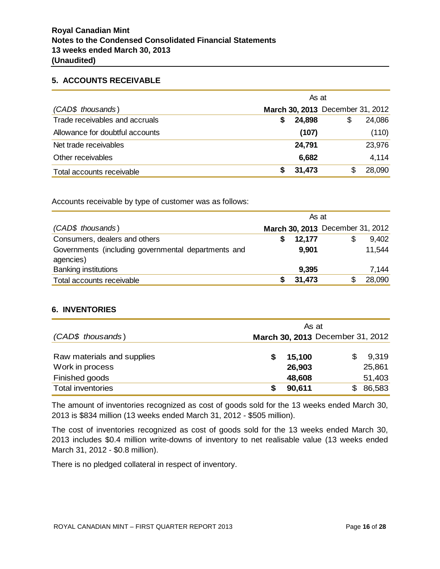## **5. ACCOUNTS RECEIVABLE**

|                                 | As at |        |                                  |        |  |
|---------------------------------|-------|--------|----------------------------------|--------|--|
| (CAD\$ thousands)               |       |        | March 30, 2013 December 31, 2012 |        |  |
| Trade receivables and accruals  | S     | 24,898 | \$                               | 24,086 |  |
| Allowance for doubtful accounts |       | (107)  |                                  | (110)  |  |
| Net trade receivables           |       | 24,791 |                                  | 23,976 |  |
| Other receivables               |       | 6,682  |                                  | 4,114  |  |
| Total accounts receivable       |       | 31,473 | S                                | 28,090 |  |

Accounts receivable by type of customer was as follows:

|                                                     | As at |        |                                  |        |
|-----------------------------------------------------|-------|--------|----------------------------------|--------|
| (CAD\$ thousands)                                   |       |        | March 30, 2013 December 31, 2012 |        |
| Consumers, dealers and others                       |       | 12,177 | \$                               | 9,402  |
| Governments (including governmental departments and |       | 9,901  |                                  | 11,544 |
| agencies)                                           |       |        |                                  |        |
| <b>Banking institutions</b>                         |       | 9,395  |                                  | 7,144  |
| Total accounts receivable                           |       | 31,473 |                                  | 28,090 |

# **6. INVENTORIES**

|                                                                 | As at                            |                           |
|-----------------------------------------------------------------|----------------------------------|---------------------------|
| (CAD\$ thousands)                                               | March 30, 2013 December 31, 2012 |                           |
| Raw materials and supplies<br>Work in process<br>Finished goods | 15,100<br>26,903<br>48,608       | 9,319<br>25,861<br>51,403 |
| <b>Total inventories</b>                                        | 90,611                           | 86,583                    |

The amount of inventories recognized as cost of goods sold for the 13 weeks ended March 30, 2013 is \$834 million (13 weeks ended March 31, 2012 - \$505 million).

The cost of inventories recognized as cost of goods sold for the 13 weeks ended March 30, 2013 includes \$0.4 million write-downs of inventory to net realisable value (13 weeks ended March 31, 2012 - \$0.8 million).

There is no pledged collateral in respect of inventory.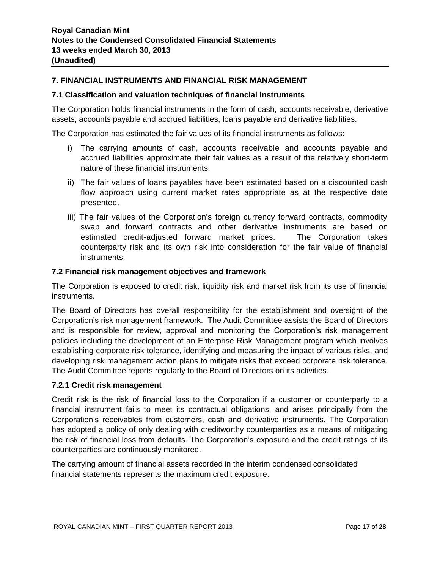# **7. FINANCIAL INSTRUMENTS AND FINANCIAL RISK MANAGEMENT**

## **7.1 Classification and valuation techniques of financial instruments**

The Corporation holds financial instruments in the form of cash, accounts receivable, derivative assets, accounts payable and accrued liabilities, loans payable and derivative liabilities.

The Corporation has estimated the fair values of its financial instruments as follows:

- i) The carrying amounts of cash, accounts receivable and accounts payable and accrued liabilities approximate their fair values as a result of the relatively short-term nature of these financial instruments.
- ii) The fair values of loans payables have been estimated based on a discounted cash flow approach using current market rates appropriate as at the respective date presented.
- iii) The fair values of the Corporation's foreign currency forward contracts, commodity swap and forward contracts and other derivative instruments are based on estimated credit-adjusted forward market prices. The Corporation takes counterparty risk and its own risk into consideration for the fair value of financial instruments.

## **7.2 Financial risk management objectives and framework**

The Corporation is exposed to credit risk, liquidity risk and market risk from its use of financial instruments.

The Board of Directors has overall responsibility for the establishment and oversight of the Corporation's risk management framework. The Audit Committee assists the Board of Directors and is responsible for review, approval and monitoring the Corporation's risk management policies including the development of an Enterprise Risk Management program which involves establishing corporate risk tolerance, identifying and measuring the impact of various risks, and developing risk management action plans to mitigate risks that exceed corporate risk tolerance. The Audit Committee reports regularly to the Board of Directors on its activities.

## **7.2.1 Credit risk management**

Credit risk is the risk of financial loss to the Corporation if a customer or counterparty to a financial instrument fails to meet its contractual obligations, and arises principally from the Corporation's receivables from customers, cash and derivative instruments. The Corporation has adopted a policy of only dealing with creditworthy counterparties as a means of mitigating the risk of financial loss from defaults. The Corporation's exposure and the credit ratings of its counterparties are continuously monitored.

The carrying amount of financial assets recorded in the interim condensed consolidated financial statements represents the maximum credit exposure.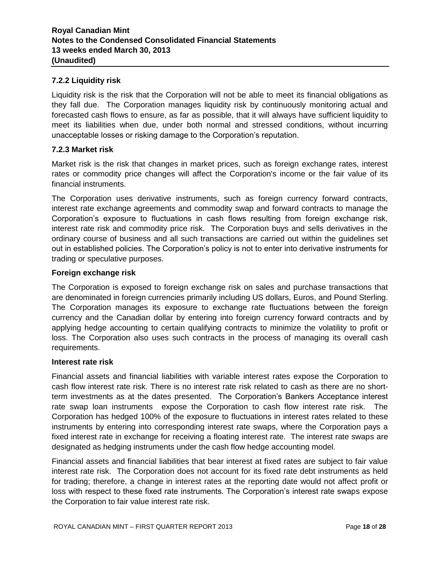# **7.2.2 Liquidity risk**

Liquidity risk is the risk that the Corporation will not be able to meet its financial obligations as they fall due. The Corporation manages liquidity risk by continuously monitoring actual and forecasted cash flows to ensure, as far as possible, that it will always have sufficient liquidity to meet its liabilities when due, under both normal and stressed conditions, without incurring unacceptable losses or risking damage to the Corporation's reputation.

## **7.2.3 Market risk**

Market risk is the risk that changes in market prices, such as foreign exchange rates, interest rates or commodity price changes will affect the Corporation's income or the fair value of its financial instruments.

The Corporation uses derivative instruments, such as foreign currency forward contracts, interest rate exchange agreements and commodity swap and forward contracts to manage the Corporation's exposure to fluctuations in cash flows resulting from foreign exchange risk, interest rate risk and commodity price risk. The Corporation buys and sells derivatives in the ordinary course of business and all such transactions are carried out within the guidelines set out in established policies. The Corporation's policy is not to enter into derivative instruments for trading or speculative purposes.

## **Foreign exchange risk**

The Corporation is exposed to foreign exchange risk on sales and purchase transactions that are denominated in foreign currencies primarily including US dollars, Euros, and Pound Sterling. The Corporation manages its exposure to exchange rate fluctuations between the foreign currency and the Canadian dollar by entering into foreign currency forward contracts and by applying hedge accounting to certain qualifying contracts to minimize the volatility to profit or loss. The Corporation also uses such contracts in the process of managing its overall cash requirements.

## **Interest rate risk**

Financial assets and financial liabilities with variable interest rates expose the Corporation to cash flow interest rate risk. There is no interest rate risk related to cash as there are no shortterm investments as at the dates presented. The Corporation's Bankers Acceptance interest rate swap loan instruments expose the Corporation to cash flow interest rate risk. The Corporation has hedged 100% of the exposure to fluctuations in interest rates related to these instruments by entering into corresponding interest rate swaps, where the Corporation pays a fixed interest rate in exchange for receiving a floating interest rate. The interest rate swaps are designated as hedging instruments under the cash flow hedge accounting model.

Financial assets and financial liabilities that bear interest at fixed rates are subject to fair value interest rate risk. The Corporation does not account for its fixed rate debt instruments as held for trading; therefore, a change in interest rates at the reporting date would not affect profit or loss with respect to these fixed rate instruments. The Corporation's interest rate swaps expose the Corporation to fair value interest rate risk.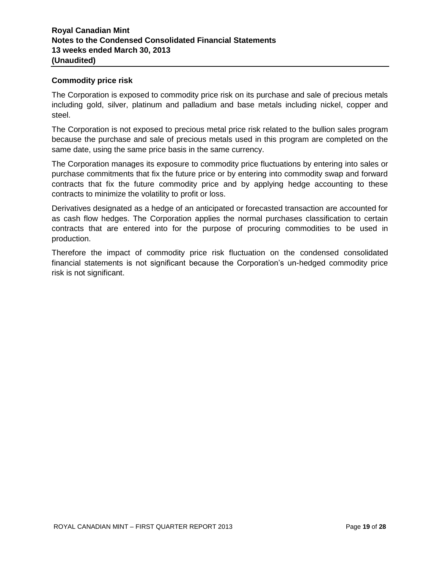## **Commodity price risk**

The Corporation is exposed to commodity price risk on its purchase and sale of precious metals including gold, silver, platinum and palladium and base metals including nickel, copper and steel.

The Corporation is not exposed to precious metal price risk related to the bullion sales program because the purchase and sale of precious metals used in this program are completed on the same date, using the same price basis in the same currency.

The Corporation manages its exposure to commodity price fluctuations by entering into sales or purchase commitments that fix the future price or by entering into commodity swap and forward contracts that fix the future commodity price and by applying hedge accounting to these contracts to minimize the volatility to profit or loss.

Derivatives designated as a hedge of an anticipated or forecasted transaction are accounted for as cash flow hedges. The Corporation applies the normal purchases classification to certain contracts that are entered into for the purpose of procuring commodities to be used in production.

Therefore the impact of commodity price risk fluctuation on the condensed consolidated financial statements is not significant because the Corporation's un-hedged commodity price risk is not significant.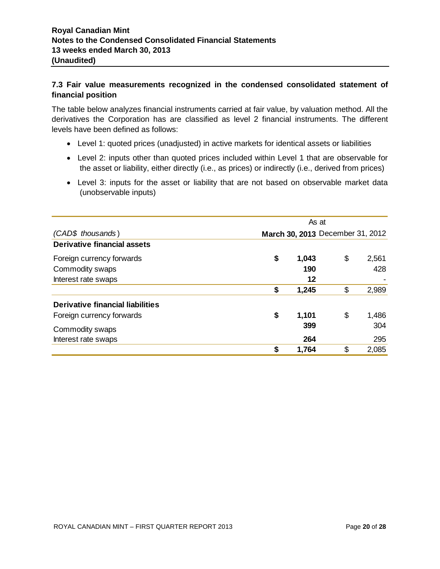# **7.3 Fair value measurements recognized in the condensed consolidated statement of financial position**

The table below analyzes financial instruments carried at fair value, by valuation method. All the derivatives the Corporation has are classified as level 2 financial instruments. The different levels have been defined as follows:

- Level 1: quoted prices (unadjusted) in active markets for identical assets or liabilities
- Level 2: inputs other than quoted prices included within Level 1 that are observable for the asset or liability, either directly (i.e., as prices) or indirectly (i.e., derived from prices)
- Level 3: inputs for the asset or liability that are not based on observable market data (unobservable inputs)

|                                         | As at |                                  |    |       |  |
|-----------------------------------------|-------|----------------------------------|----|-------|--|
| (CAD\$ thousands)                       |       | March 30, 2013 December 31, 2012 |    |       |  |
| <b>Derivative financial assets</b>      |       |                                  |    |       |  |
| Foreign currency forwards               | \$    | 1,043                            | \$ | 2,561 |  |
| Commodity swaps                         |       | 190                              |    | 428   |  |
| Interest rate swaps                     |       | 12                               |    |       |  |
|                                         | \$    | 1,245                            | \$ | 2,989 |  |
| <b>Derivative financial liabilities</b> |       |                                  |    |       |  |
| Foreign currency forwards               | \$    | 1,101                            | \$ | 1,486 |  |
| Commodity swaps                         |       | 399                              |    | 304   |  |
| Interest rate swaps                     |       | 264                              |    | 295   |  |
|                                         | \$    | 1,764                            | \$ | 2,085 |  |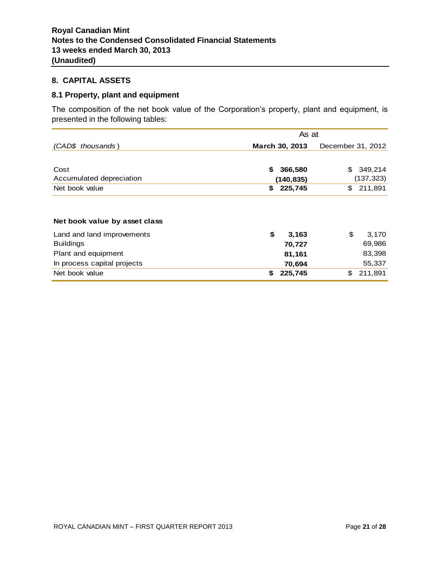# **8. CAPITAL ASSETS**

## **8.1 Property, plant and equipment**

The composition of the net book value of the Corporation's property, plant and equipment, is presented in the following tables:

|                               | As at          |                   |
|-------------------------------|----------------|-------------------|
| (CAD\$ thousands)             | March 30, 2013 | December 31, 2012 |
|                               |                |                   |
| Cost                          | \$<br>366,580  | \$<br>349,214     |
| Accumulated depreciation      | (140, 835)     | (137, 323)        |
| Net book value                | 225,745<br>\$  | \$<br>211,891     |
| Net book value by asset class |                |                   |
| Land and land improvements    | \$<br>3,163    | \$<br>3,170       |
| <b>Buildings</b>              | 70,727         | 69,986            |
| Plant and equipment           | 81,161         | 83,398            |
| In process capital projects   | 70,694         | 55,337            |
| Net book value                | \$<br>225,745  | \$<br>211,891     |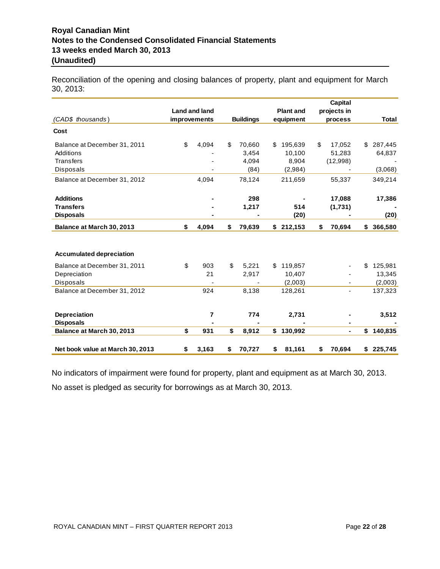# **Royal Canadian Mint Notes to the Condensed Consolidated Financial Statements 13 weeks ended March 30, 2013 (Unaudited)**

Reconciliation of the opening and closing balances of property, plant and equipment for March 30, 2013:

|                                  | Land and land |                  | <b>Plant and</b> | Capital<br>projects in |               |
|----------------------------------|---------------|------------------|------------------|------------------------|---------------|
| (CAD\$ thousands)                | improvements  | <b>Buildings</b> | equipment        | process                | <b>Total</b>  |
| Cost                             |               |                  |                  |                        |               |
| Balance at December 31, 2011     | \$<br>4,094   | \$<br>70,660     | \$<br>195,639    | \$<br>17,052           | \$<br>287,445 |
| Additions                        |               | 3.454            | 10.100           | 51.283                 | 64,837        |
| <b>Transfers</b>                 |               | 4.094            | 8,904            | (12,998)               |               |
| Disposals                        |               | (84)             | (2,984)          |                        | (3,068)       |
| Balance at December 31, 2012     | 4.094         | 78,124           | 211,659          | 55,337                 | 349,214       |
| <b>Additions</b>                 |               | 298              |                  | 17,088                 | 17,386        |
| <b>Transfers</b>                 |               | 1,217            | 514              | (1,731)                |               |
| <b>Disposals</b>                 |               |                  | (20)             |                        | (20)          |
| Balance at March 30, 2013        | \$<br>4,094   | \$<br>79,639     | \$<br>212,153    | \$<br>70,694           | \$<br>366,580 |
|                                  |               |                  |                  |                        |               |
| <b>Accumulated depreciation</b>  |               |                  |                  |                        |               |
| Balance at December 31, 2011     | \$<br>903     | \$<br>5.221      | \$<br>119,857    |                        | \$<br>125,981 |
| Depreciation                     | 21            | 2,917            | 10,407           |                        | 13,345        |
| Disposals                        |               |                  | (2,003)          |                        | (2,003)       |
| Balance at December 31, 2012     | 924           | 8,138            | 128,261          | ٠                      | 137,323       |
| <b>Depreciation</b>              | 7             | 774              | 2,731            |                        | 3,512         |
| <b>Disposals</b>                 |               |                  |                  |                        |               |
| Balance at March 30, 2013        | \$<br>931     | \$<br>8,912      | \$<br>130,992    | $\blacksquare$         | \$<br>140,835 |
| Net book value at March 30, 2013 | \$<br>3,163   | \$<br>70,727     | \$<br>81,161     | \$<br>70,694           | \$<br>225,745 |

No indicators of impairment were found for property, plant and equipment as at March 30, 2013. No asset is pledged as security for borrowings as at March 30, 2013.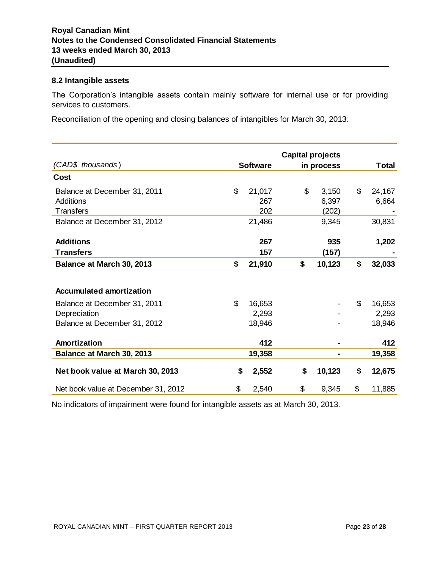## **8.2 Intangible assets**

The Corporation's intangible assets contain mainly software for internal use or for providing services to customers.

Reconciliation of the opening and closing balances of intangibles for March 30, 2013:

|                                     | <b>Capital projects</b> |                 |    |                |              |
|-------------------------------------|-------------------------|-----------------|----|----------------|--------------|
| (CAD\$ thousands)                   |                         | <b>Software</b> |    | in process     | Total        |
| Cost                                |                         |                 |    |                |              |
| Balance at December 31, 2011        | $\mathfrak{L}$          | 21,017          | \$ | 3,150          | \$<br>24,167 |
| Additions                           |                         | 267             |    | 6,397          | 6,664        |
| <b>Transfers</b>                    |                         | 202             |    | (202)          |              |
| Balance at December 31, 2012        |                         | 21,486          |    | 9,345          | 30,831       |
| <b>Additions</b>                    |                         | 267             |    | 935            | 1,202        |
| <b>Transfers</b>                    |                         | 157             |    | (157)          |              |
| Balance at March 30, 2013           | \$                      | 21,910          | \$ | 10,123         | \$<br>32,033 |
| <b>Accumulated amortization</b>     |                         |                 |    |                |              |
| Balance at December 31, 2011        | \$                      | 16,653          |    |                | \$<br>16,653 |
| Depreciation                        |                         | 2,293           |    |                | 2,293        |
| Balance at December 31, 2012        |                         | 18,946          |    |                | 18,946       |
| Amortization                        |                         | 412             |    |                | 412          |
| Balance at March 30, 2013           |                         | 19,358          |    | $\blacksquare$ | 19,358       |
| Net book value at March 30, 2013    | \$                      | 2,552           | \$ | 10,123         | \$<br>12,675 |
| Net book value at December 31, 2012 | \$                      | 2,540           | \$ | 9,345          | \$<br>11,885 |

No indicators of impairment were found for intangible assets as at March 30, 2013.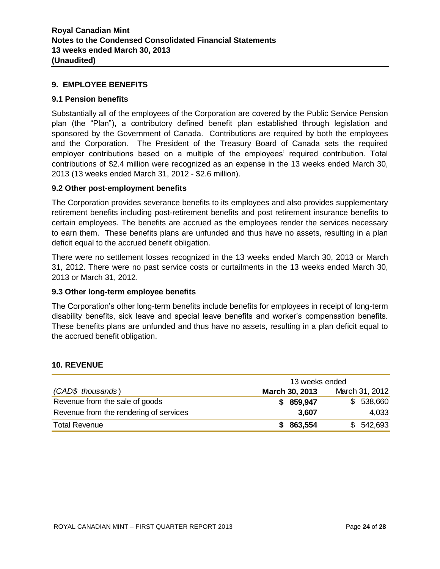## **9. EMPLOYEE BENEFITS**

## **9.1 Pension benefits**

Substantially all of the employees of the Corporation are covered by the Public Service Pension plan (the "Plan"), a contributory defined benefit plan established through legislation and sponsored by the Government of Canada. Contributions are required by both the employees and the Corporation. The President of the Treasury Board of Canada sets the required employer contributions based on a multiple of the employees' required contribution. Total contributions of \$2.4 million were recognized as an expense in the 13 weeks ended March 30, 2013 (13 weeks ended March 31, 2012 - \$2.6 million).

## **9.2 Other post-employment benefits**

The Corporation provides severance benefits to its employees and also provides supplementary retirement benefits including post-retirement benefits and post retirement insurance benefits to certain employees. The benefits are accrued as the employees render the services necessary to earn them. These benefits plans are unfunded and thus have no assets, resulting in a plan deficit equal to the accrued benefit obligation.

There were no settlement losses recognized in the 13 weeks ended March 30, 2013 or March 31, 2012. There were no past service costs or curtailments in the 13 weeks ended March 30, 2013 or March 31, 2012.

## **9.3 Other long-term employee benefits**

The Corporation's other long-term benefits include benefits for employees in receipt of long-term disability benefits, sick leave and special leave benefits and worker's compensation benefits. These benefits plans are unfunded and thus have no assets, resulting in a plan deficit equal to the accrued benefit obligation.

#### **10. REVENUE**

|                                        | 13 weeks ended |                |  |  |
|----------------------------------------|----------------|----------------|--|--|
| (CAD\$ thousands)                      | March 30, 2013 | March 31, 2012 |  |  |
| Revenue from the sale of goods         | 859,947<br>S.  | \$538,660      |  |  |
| Revenue from the rendering of services | 3,607          | 4,033          |  |  |
| <b>Total Revenue</b>                   | 863,554<br>S.  | \$542,693      |  |  |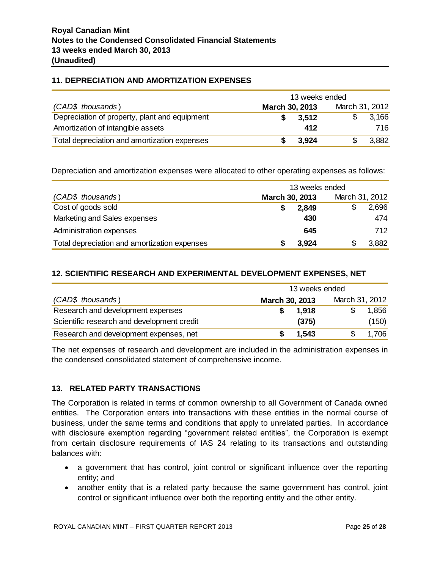# **11. DEPRECIATION AND AMORTIZATION EXPENSES**

|                                               | 13 weeks ended |                |  |  |
|-----------------------------------------------|----------------|----------------|--|--|
| (CAD\$ thousands)                             | March 30, 2013 | March 31, 2012 |  |  |
| Depreciation of property, plant and equipment | 3.512          | 3,166          |  |  |
| Amortization of intangible assets             | 412            | 716.           |  |  |
| Total depreciation and amortization expenses  | 3.924          | 3,882          |  |  |

Depreciation and amortization expenses were allocated to other operating expenses as follows:

|                                              | 13 weeks ended |                |  |  |
|----------------------------------------------|----------------|----------------|--|--|
| (CAD\$ thousands)                            | March 30, 2013 | March 31, 2012 |  |  |
| Cost of goods sold                           | 2,849          | 2,696          |  |  |
| Marketing and Sales expenses                 | 430            | 474            |  |  |
| Administration expenses                      | 645            | 712.           |  |  |
| Total depreciation and amortization expenses | 3,924          | 3,882          |  |  |

# **12. SCIENTIFIC RESEARCH AND EXPERIMENTAL DEVELOPMENT EXPENSES, NET**

|                                            | 13 weeks ended |                |  |  |
|--------------------------------------------|----------------|----------------|--|--|
| (CAD\$ thousands)                          | March 30, 2013 | March 31, 2012 |  |  |
| Research and development expenses          | 1.918          | 1,856          |  |  |
| Scientific research and development credit | (375)          | (150)          |  |  |
| Research and development expenses, net     | 1,543          | 1,706          |  |  |

The net expenses of research and development are included in the administration expenses in the condensed consolidated statement of comprehensive income.

# **13. RELATED PARTY TRANSACTIONS**

The Corporation is related in terms of common ownership to all Government of Canada owned entities. The Corporation enters into transactions with these entities in the normal course of business, under the same terms and conditions that apply to unrelated parties. In accordance with disclosure exemption regarding "government related entities", the Corporation is exempt from certain disclosure requirements of IAS 24 relating to its transactions and outstanding balances with:

- a government that has control, joint control or significant influence over the reporting entity; and
- another entity that is a related party because the same government has control, joint control or significant influence over both the reporting entity and the other entity.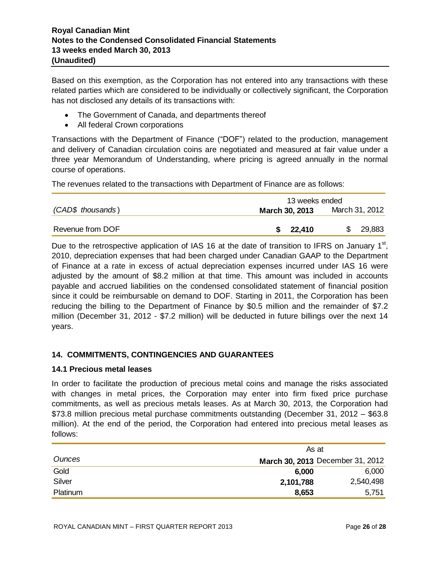Based on this exemption, as the Corporation has not entered into any transactions with these related parties which are considered to be individually or collectively significant, the Corporation has not disclosed any details of its transactions with:

- The Government of Canada, and departments thereof
- All federal Crown corporations

Transactions with the Department of Finance ("DOF") related to the production, management and delivery of Canadian circulation coins are negotiated and measured at fair value under a three year Memorandum of Understanding, where pricing is agreed annually in the normal course of operations.

The revenues related to the transactions with Department of Finance are as follows:

| 13 weeks ended        |                |  |  |
|-----------------------|----------------|--|--|
| <b>March 30, 2013</b> | March 31, 2012 |  |  |
| 22,410<br>S.          | 29,883         |  |  |
|                       |                |  |  |

Due to the retrospective application of IAS 16 at the date of transition to IFRS on January 1<sup>st</sup>, 2010, depreciation expenses that had been charged under Canadian GAAP to the Department of Finance at a rate in excess of actual depreciation expenses incurred under IAS 16 were adjusted by the amount of \$8.2 million at that time. This amount was included in accounts payable and accrued liabilities on the condensed consolidated statement of financial position since it could be reimbursable on demand to DOF. Starting in 2011, the Corporation has been reducing the billing to the Department of Finance by \$0.5 million and the remainder of \$7.2 million (December 31, 2012 - \$7.2 million) will be deducted in future billings over the next 14 years.

# **14. COMMITMENTS, CONTINGENCIES AND GUARANTEES**

# **14.1 Precious metal leases**

In order to facilitate the production of precious metal coins and manage the risks associated with changes in metal prices, the Corporation may enter into firm fixed price purchase commitments, as well as precious metals leases. As at March 30, 2013, the Corporation had \$73.8 million precious metal purchase commitments outstanding (December 31, 2012 – \$63.8 million). At the end of the period, the Corporation had entered into precious metal leases as follows:

|               |           | As at                            |  |  |  |
|---------------|-----------|----------------------------------|--|--|--|
| <b>Ounces</b> |           | March 30, 2013 December 31, 2012 |  |  |  |
| Gold          | 6,000     | 6,000                            |  |  |  |
| Silver        | 2,101,788 | 2,540,498                        |  |  |  |
| Platinum      | 8,653     | 5,751                            |  |  |  |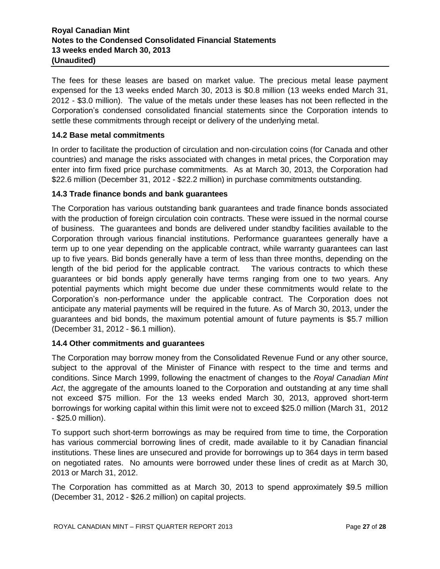# **Royal Canadian Mint Notes to the Condensed Consolidated Financial Statements 13 weeks ended March 30, 2013 (Unaudited)**

The fees for these leases are based on market value. The precious metal lease payment expensed for the 13 weeks ended March 30, 2013 is \$0.8 million (13 weeks ended March 31, 2012 - \$3.0 million). The value of the metals under these leases has not been reflected in the Corporation's condensed consolidated financial statements since the Corporation intends to settle these commitments through receipt or delivery of the underlying metal.

# **14.2 Base metal commitments**

In order to facilitate the production of circulation and non-circulation coins (for Canada and other countries) and manage the risks associated with changes in metal prices, the Corporation may enter into firm fixed price purchase commitments. As at March 30, 2013, the Corporation had \$22.6 million (December 31, 2012 - \$22.2 million) in purchase commitments outstanding.

## **14.3 Trade finance bonds and bank guarantees**

The Corporation has various outstanding bank guarantees and trade finance bonds associated with the production of foreign circulation coin contracts. These were issued in the normal course of business. The guarantees and bonds are delivered under standby facilities available to the Corporation through various financial institutions. Performance guarantees generally have a term up to one year depending on the applicable contract, while warranty guarantees can last up to five years. Bid bonds generally have a term of less than three months, depending on the length of the bid period for the applicable contract. The various contracts to which these guarantees or bid bonds apply generally have terms ranging from one to two years. Any potential payments which might become due under these commitments would relate to the Corporation's non-performance under the applicable contract. The Corporation does not anticipate any material payments will be required in the future. As of March 30, 2013, under the guarantees and bid bonds, the maximum potential amount of future payments is \$5.7 million (December 31, 2012 - \$6.1 million).

## **14.4 Other commitments and guarantees**

The Corporation may borrow money from the Consolidated Revenue Fund or any other source, subject to the approval of the Minister of Finance with respect to the time and terms and conditions. Since March 1999, following the enactment of changes to the *Royal Canadian Mint Act*, the aggregate of the amounts loaned to the Corporation and outstanding at any time shall not exceed \$75 million. For the 13 weeks ended March 30, 2013, approved short-term borrowings for working capital within this limit were not to exceed \$25.0 million (March 31, 2012 - \$25.0 million).

To support such short-term borrowings as may be required from time to time, the Corporation has various commercial borrowing lines of credit, made available to it by Canadian financial institutions. These lines are unsecured and provide for borrowings up to 364 days in term based on negotiated rates. No amounts were borrowed under these lines of credit as at March 30, 2013 or March 31, 2012.

The Corporation has committed as at March 30, 2013 to spend approximately \$9.5 million (December 31, 2012 - \$26.2 million) on capital projects.